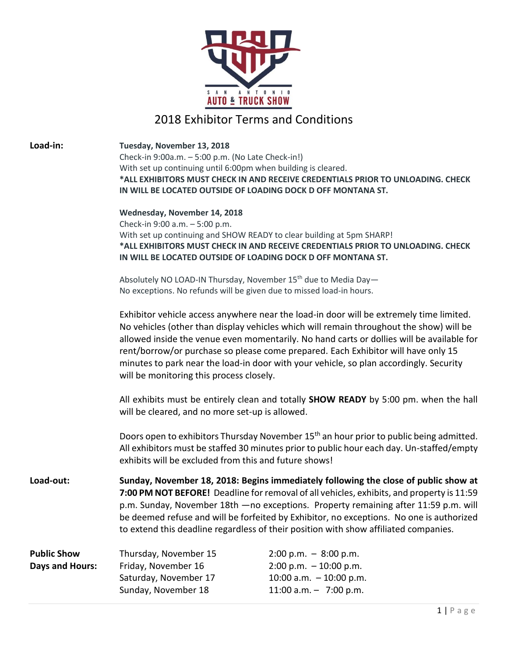

# 2018 Exhibitor Terms and Conditions

**Load-in: Tuesday, November 13, 2018** Check-in 9:00a.m. – 5:00 p.m. (No Late Check-in!) With set up continuing until 6:00pm when building is cleared. **\*ALL EXHIBITORS MUST CHECK IN AND RECEIVE CREDENTIALS PRIOR TO UNLOADING. CHECK IN WILL BE LOCATED OUTSIDE OF LOADING DOCK D OFF MONTANA ST. Wednesday, November 14, 2018** Check-in 9:00 a.m. – 5:00 p.m. With set up continuing and SHOW READY to clear building at 5pm SHARP! **\*ALL EXHIBITORS MUST CHECK IN AND RECEIVE CREDENTIALS PRIOR TO UNLOADING. CHECK IN WILL BE LOCATED OUTSIDE OF LOADING DOCK D OFF MONTANA ST.** Absolutely NO LOAD-IN Thursday, November 15<sup>th</sup> due to Media Day-No exceptions. No refunds will be given due to missed load-in hours. Exhibitor vehicle access anywhere near the load-in door will be extremely time limited. No vehicles (other than display vehicles which will remain throughout the show) will be allowed inside the venue even momentarily. No hand carts or dollies will be available for rent/borrow/or purchase so please come prepared. Each Exhibitor will have only 15 minutes to park near the load-in door with your vehicle, so plan accordingly. Security will be monitoring this process closely. All exhibits must be entirely clean and totally **SHOW READY** by 5:00 pm. when the hall will be cleared, and no more set-up is allowed. Doors open to exhibitors Thursday November 15<sup>th</sup> an hour prior to public being admitted. All exhibitors must be staffed 30 minutes prior to public hour each day. Un-staffed/empty exhibits will be excluded from this and future shows! **Load-out: Sunday, November 18, 2018: Begins immediately following the close of public show at 7:00 PM NOT BEFORE!** Deadline for removal of all vehicles, exhibits, and property is 11:59 p.m. Sunday, November 18th —no exceptions. Property remaining after 11:59 p.m. will be deemed refuse and will be forfeited by Exhibitor, no exceptions. No one is authorized to extend this deadline regardless of their position with show affiliated companies. **Public Show** Thursday, November 15 2:00 p.m. – 8:00 p.m. **Days and Hours:** Friday, November 16 2:00 p.m. – 10:00 p.m. Saturday, November 1710:00 a.m. – 10:00 p.m. Sunday, November 18 11:00 a.m. - 7:00 p.m.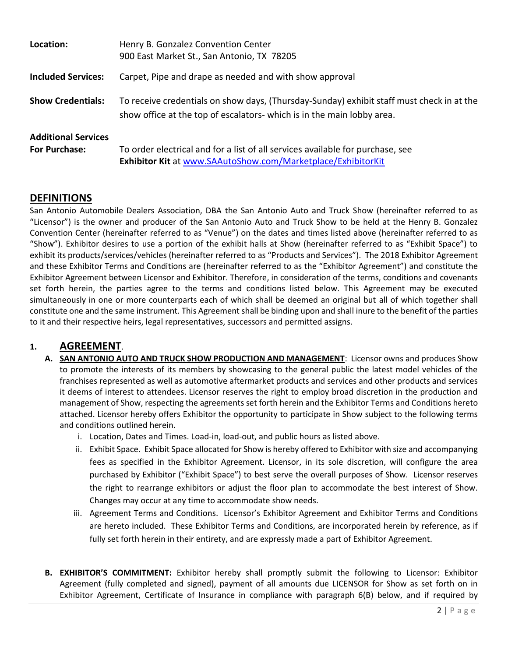| Location:                                          | Henry B. Gonzalez Convention Center<br>900 East Market St., San Antonio, TX 78205                                                                                   |
|----------------------------------------------------|---------------------------------------------------------------------------------------------------------------------------------------------------------------------|
| <b>Included Services:</b>                          | Carpet, Pipe and drape as needed and with show approval                                                                                                             |
| <b>Show Credentials:</b>                           | To receive credentials on show days, (Thursday-Sunday) exhibit staff must check in at the<br>show office at the top of escalators- which is in the main lobby area. |
| <b>Additional Services</b><br><b>For Purchase:</b> | To order electrical and for a list of all services available for purchase, see<br>Exhibitor Kit at www.SAAutoShow.com/Marketplace/ExhibitorKit                      |

# **DEFINITIONS**

San Antonio Automobile Dealers Association, DBA the San Antonio Auto and Truck Show (hereinafter referred to as "Licensor") is the owner and producer of the San Antonio Auto and Truck Show to be held at the Henry B. Gonzalez Convention Center (hereinafter referred to as "Venue") on the dates and times listed above (hereinafter referred to as "Show"). Exhibitor desires to use a portion of the exhibit halls at Show (hereinafter referred to as "Exhibit Space") to exhibit its products/services/vehicles (hereinafter referred to as "Products and Services"). The 2018 Exhibitor Agreement and these Exhibitor Terms and Conditions are (hereinafter referred to as the "Exhibitor Agreement") and constitute the Exhibitor Agreement between Licensor and Exhibitor. Therefore, in consideration of the terms, conditions and covenants set forth herein, the parties agree to the terms and conditions listed below. This Agreement may be executed simultaneously in one or more counterparts each of which shall be deemed an original but all of which together shall constitute one and the same instrument. This Agreement shall be binding upon and shall inure to the benefit of the parties to it and their respective heirs, legal representatives, successors and permitted assigns.

# **1. AGREEMENT**.

- **A. SAN ANTONIO AUTO AND TRUCK SHOW PRODUCTION AND MANAGEMENT**: Licensor owns and produces Show to promote the interests of its members by showcasing to the general public the latest model vehicles of the franchises represented as well as automotive aftermarket products and services and other products and services it deems of interest to attendees. Licensor reserves the right to employ broad discretion in the production and management of Show, respecting the agreements set forth herein and the Exhibitor Terms and Conditions hereto attached. Licensor hereby offers Exhibitor the opportunity to participate in Show subject to the following terms and conditions outlined herein.
	- i. Location, Dates and Times. Load-in, load-out, and public hours as listed above.
	- ii. Exhibit Space. Exhibit Space allocated for Show is hereby offered to Exhibitor with size and accompanying fees as specified in the Exhibitor Agreement. Licensor, in its sole discretion, will configure the area purchased by Exhibitor ("Exhibit Space") to best serve the overall purposes of Show. Licensor reserves the right to rearrange exhibitors or adjust the floor plan to accommodate the best interest of Show. Changes may occur at any time to accommodate show needs.
	- iii. Agreement Terms and Conditions. Licensor's Exhibitor Agreement and Exhibitor Terms and Conditions are hereto included. These Exhibitor Terms and Conditions, are incorporated herein by reference, as if fully set forth herein in their entirety, and are expressly made a part of Exhibitor Agreement.
- **B. EXHIBITOR'S COMMITMENT:** Exhibitor hereby shall promptly submit the following to Licensor: Exhibitor Agreement (fully completed and signed), payment of all amounts due LICENSOR for Show as set forth on in Exhibitor Agreement, Certificate of Insurance in compliance with paragraph 6(B) below, and if required by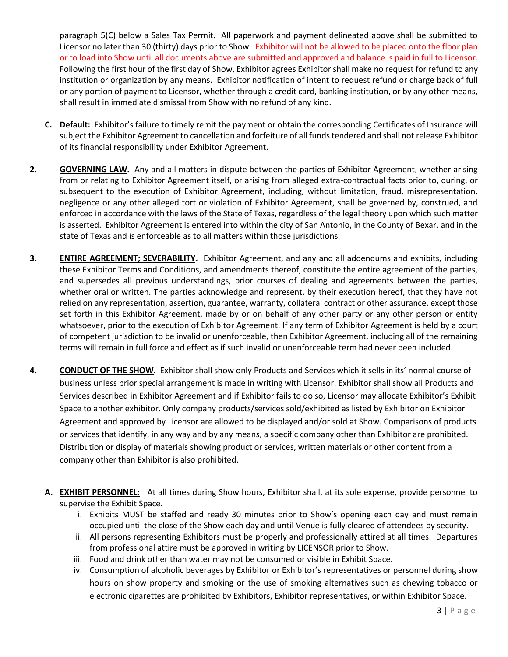paragraph 5(C) below a Sales Tax Permit. All paperwork and payment delineated above shall be submitted to Licensor no later than 30 (thirty) days prior to Show. Exhibitor will not be allowed to be placed onto the floor plan or to load into Show until all documents above are submitted and approved and balance is paid in full to Licensor. Following the first hour of the first day of Show, Exhibitor agrees Exhibitor shall make no request for refund to any institution or organization by any means. Exhibitor notification of intent to request refund or charge back of full or any portion of payment to Licensor, whether through a credit card, banking institution, or by any other means, shall result in immediate dismissal from Show with no refund of any kind.

- **C. Default:** Exhibitor's failure to timely remit the payment or obtain the corresponding Certificates of Insurance will subject the Exhibitor Agreement to cancellation and forfeiture of all funds tendered and shall not release Exhibitor of its financial responsibility under Exhibitor Agreement.
- **2. GOVERNING LAW.** Any and all matters in dispute between the parties of Exhibitor Agreement, whether arising from or relating to Exhibitor Agreement itself, or arising from alleged extra-contractual facts prior to, during, or subsequent to the execution of Exhibitor Agreement, including, without limitation, fraud, misrepresentation, negligence or any other alleged tort or violation of Exhibitor Agreement, shall be governed by, construed, and enforced in accordance with the laws of the State of Texas, regardless of the legal theory upon which such matter is asserted. Exhibitor Agreement is entered into within the city of San Antonio, in the County of Bexar, and in the state of Texas and is enforceable as to all matters within those jurisdictions.
- **3. ENTIRE AGREEMENT; SEVERABILITY.** Exhibitor Agreement, and any and all addendums and exhibits, including these Exhibitor Terms and Conditions, and amendments thereof, constitute the entire agreement of the parties, and supersedes all previous understandings, prior courses of dealing and agreements between the parties, whether oral or written. The parties acknowledge and represent, by their execution hereof, that they have not relied on any representation, assertion, guarantee, warranty, collateral contract or other assurance, except those set forth in this Exhibitor Agreement, made by or on behalf of any other party or any other person or entity whatsoever, prior to the execution of Exhibitor Agreement. If any term of Exhibitor Agreement is held by a court of competent jurisdiction to be invalid or unenforceable, then Exhibitor Agreement, including all of the remaining terms will remain in full force and effect as if such invalid or unenforceable term had never been included.
- **4. CONDUCT OF THE SHOW.** Exhibitor shall show only Products and Services which it sells in its' normal course of business unless prior special arrangement is made in writing with Licensor. Exhibitor shall show all Products and Services described in Exhibitor Agreement and if Exhibitor fails to do so, Licensor may allocate Exhibitor's Exhibit Space to another exhibitor. Only company products/services sold/exhibited as listed by Exhibitor on Exhibitor Agreement and approved by Licensor are allowed to be displayed and/or sold at Show. Comparisons of products or services that identify, in any way and by any means, a specific company other than Exhibitor are prohibited. Distribution or display of materials showing product or services, written materials or other content from a company other than Exhibitor is also prohibited.
	- **A. EXHIBIT PERSONNEL:** At all times during Show hours, Exhibitor shall, at its sole expense, provide personnel to supervise the Exhibit Space.
		- i. Exhibits MUST be staffed and ready 30 minutes prior to Show's opening each day and must remain occupied until the close of the Show each day and until Venue is fully cleared of attendees by security.
		- ii. All persons representing Exhibitors must be properly and professionally attired at all times. Departures from professional attire must be approved in writing by LICENSOR prior to Show.
		- iii. Food and drink other than water may not be consumed or visible in Exhibit Space.
		- iv. Consumption of alcoholic beverages by Exhibitor or Exhibitor's representatives or personnel during show hours on show property and smoking or the use of smoking alternatives such as chewing tobacco or electronic cigarettes are prohibited by Exhibitors, Exhibitor representatives, or within Exhibitor Space.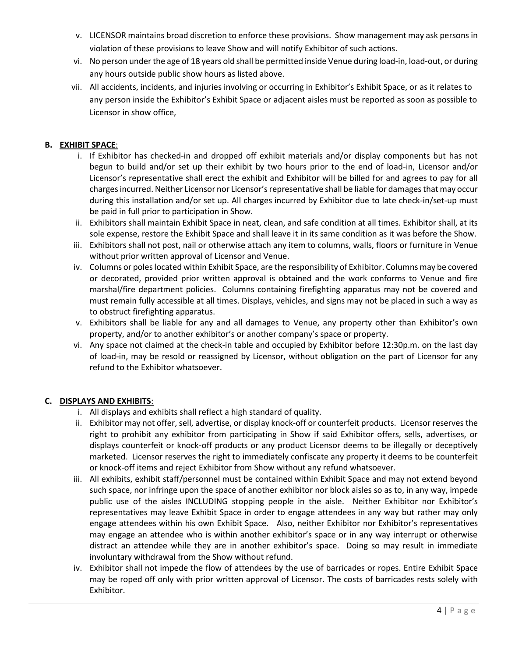- v. LICENSOR maintains broad discretion to enforce these provisions. Show management may ask persons in violation of these provisions to leave Show and will notify Exhibitor of such actions.
- vi. No person under the age of 18 years old shall be permitted inside Venue during load-in, load-out, or during any hours outside public show hours as listed above.
- vii. All accidents, incidents, and injuries involving or occurring in Exhibitor's Exhibit Space, or as it relates to any person inside the Exhibitor's Exhibit Space or adjacent aisles must be reported as soon as possible to Licensor in show office,

#### **B. EXHIBIT SPACE**:

- i. If Exhibitor has checked-in and dropped off exhibit materials and/or display components but has not begun to build and/or set up their exhibit by two hours prior to the end of load-in, Licensor and/or Licensor's representative shall erect the exhibit and Exhibitor will be billed for and agrees to pay for all charges incurred. Neither Licensor nor Licensor's representative shall be liable for damages that may occur during this installation and/or set up. All charges incurred by Exhibitor due to late check-in/set-up must be paid in full prior to participation in Show.
- ii. Exhibitors shall maintain Exhibit Space in neat, clean, and safe condition at all times. Exhibitor shall, at its sole expense, restore the Exhibit Space and shall leave it in its same condition as it was before the Show.
- iii. Exhibitors shall not post, nail or otherwise attach any item to columns, walls, floors or furniture in Venue without prior written approval of Licensor and Venue.
- iv. Columns or poles located within Exhibit Space, are the responsibility of Exhibitor. Columns may be covered or decorated, provided prior written approval is obtained and the work conforms to Venue and fire marshal/fire department policies. Columns containing firefighting apparatus may not be covered and must remain fully accessible at all times. Displays, vehicles, and signs may not be placed in such a way as to obstruct firefighting apparatus.
- v. Exhibitors shall be liable for any and all damages to Venue, any property other than Exhibitor's own property, and/or to another exhibitor's or another company's space or property.
- vi. Any space not claimed at the check-in table and occupied by Exhibitor before 12:30p.m. on the last day of load-in, may be resold or reassigned by Licensor, without obligation on the part of Licensor for any refund to the Exhibitor whatsoever.

#### **C. DISPLAYS AND EXHIBITS**:

- i. All displays and exhibits shall reflect a high standard of quality.
- ii. Exhibitor may not offer, sell, advertise, or display knock-off or counterfeit products. Licensor reserves the right to prohibit any exhibitor from participating in Show if said Exhibitor offers, sells, advertises, or displays counterfeit or knock-off products or any product Licensor deems to be illegally or deceptively marketed. Licensor reserves the right to immediately confiscate any property it deems to be counterfeit or knock-off items and reject Exhibitor from Show without any refund whatsoever.
- iii. All exhibits, exhibit staff/personnel must be contained within Exhibit Space and may not extend beyond such space, nor infringe upon the space of another exhibitor nor block aisles so as to, in any way, impede public use of the aisles INCLUDING stopping people in the aisle. Neither Exhibitor nor Exhibitor's representatives may leave Exhibit Space in order to engage attendees in any way but rather may only engage attendees within his own Exhibit Space. Also, neither Exhibitor nor Exhibitor's representatives may engage an attendee who is within another exhibitor's space or in any way interrupt or otherwise distract an attendee while they are in another exhibitor's space. Doing so may result in immediate involuntary withdrawal from the Show without refund.
- iv. Exhibitor shall not impede the flow of attendees by the use of barricades or ropes. Entire Exhibit Space may be roped off only with prior written approval of Licensor. The costs of barricades rests solely with Exhibitor.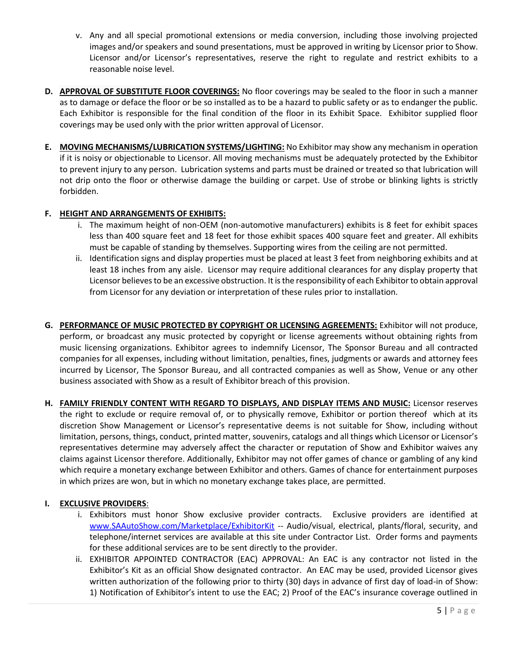- v. Any and all special promotional extensions or media conversion, including those involving projected images and/or speakers and sound presentations, must be approved in writing by Licensor prior to Show. Licensor and/or Licensor's representatives, reserve the right to regulate and restrict exhibits to a reasonable noise level.
- **D. APPROVAL OF SUBSTITUTE FLOOR COVERINGS:** No floor coverings may be sealed to the floor in such a manner as to damage or deface the floor or be so installed as to be a hazard to public safety or as to endanger the public. Each Exhibitor is responsible for the final condition of the floor in its Exhibit Space. Exhibitor supplied floor coverings may be used only with the prior written approval of Licensor.
- **E. MOVING MECHANISMS/LUBRICATION SYSTEMS/LIGHTING:** No Exhibitor may show any mechanism in operation if it is noisy or objectionable to Licensor. All moving mechanisms must be adequately protected by the Exhibitor to prevent injury to any person. Lubrication systems and parts must be drained or treated so that lubrication will not drip onto the floor or otherwise damage the building or carpet. Use of strobe or blinking lights is strictly forbidden.

#### **F. HEIGHT AND ARRANGEMENTS OF EXHIBITS:**

- i. The maximum height of non-OEM (non-automotive manufacturers) exhibits is 8 feet for exhibit spaces less than 400 square feet and 18 feet for those exhibit spaces 400 square feet and greater. All exhibits must be capable of standing by themselves. Supporting wires from the ceiling are not permitted.
- ii. Identification signs and display properties must be placed at least 3 feet from neighboring exhibits and at least 18 inches from any aisle. Licensor may require additional clearances for any display property that Licensor believes to be an excessive obstruction. It is the responsibility of each Exhibitor to obtain approval from Licensor for any deviation or interpretation of these rules prior to installation.
- **G. PERFORMANCE OF MUSIC PROTECTED BY COPYRIGHT OR LICENSING AGREEMENTS:** Exhibitor will not produce, perform, or broadcast any music protected by copyright or license agreements without obtaining rights from music licensing organizations. Exhibitor agrees to indemnify Licensor, The Sponsor Bureau and all contracted companies for all expenses, including without limitation, penalties, fines, judgments or awards and attorney fees incurred by Licensor, The Sponsor Bureau, and all contracted companies as well as Show, Venue or any other business associated with Show as a result of Exhibitor breach of this provision.
- **H. FAMILY FRIENDLY CONTENT WITH REGARD TO DISPLAYS, AND DISPLAY ITEMS AND MUSIC:** Licensor reserves the right to exclude or require removal of, or to physically remove, Exhibitor or portion thereof which at its discretion Show Management or Licensor's representative deems is not suitable for Show, including without limitation, persons, things, conduct, printed matter, souvenirs, catalogs and all things which Licensor or Licensor's representatives determine may adversely affect the character or reputation of Show and Exhibitor waives any claims against Licensor therefore. Additionally, Exhibitor may not offer games of chance or gambling of any kind which require a monetary exchange between Exhibitor and others. Games of chance for entertainment purposes in which prizes are won, but in which no monetary exchange takes place, are permitted.

### **I. EXCLUSIVE PROVIDERS**:

- i. Exhibitors must honor Show exclusive provider contracts. Exclusive providers are identified at [www.SAAutoShow.com/Marketplace/ExhibitorKit](http://www.saautoshow.com/Marketplace/ExhibitorKit) -- Audio/visual, electrical, plants/floral, security, and telephone/internet services are available at this site under Contractor List. Order forms and payments for these additional services are to be sent directly to the provider.
- ii. EXHIBITOR APPOINTED CONTRACTOR (EAC) APPROVAL: An EAC is any contractor not listed in the Exhibitor's Kit as an official Show designated contractor. An EAC may be used, provided Licensor gives written authorization of the following prior to thirty (30) days in advance of first day of load-in of Show: 1) Notification of Exhibitor's intent to use the EAC; 2) Proof of the EAC's insurance coverage outlined in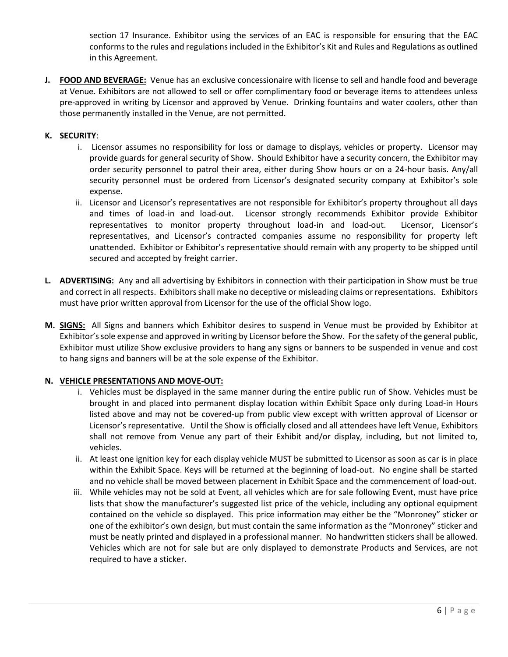section 17 Insurance. Exhibitor using the services of an EAC is responsible for ensuring that the EAC conforms to the rules and regulations included in the Exhibitor's Kit and Rules and Regulations as outlined in this Agreement.

**J. FOOD AND BEVERAGE:** Venue has an exclusive concessionaire with license to sell and handle food and beverage at Venue. Exhibitors are not allowed to sell or offer complimentary food or beverage items to attendees unless pre-approved in writing by Licensor and approved by Venue. Drinking fountains and water coolers, other than those permanently installed in the Venue, are not permitted.

### **K. SECURITY**:

- i. Licensor assumes no responsibility for loss or damage to displays, vehicles or property. Licensor may provide guards for general security of Show. Should Exhibitor have a security concern, the Exhibitor may order security personnel to patrol their area, either during Show hours or on a 24-hour basis. Any/all security personnel must be ordered from Licensor's designated security company at Exhibitor's sole expense.
- ii. Licensor and Licensor's representatives are not responsible for Exhibitor's property throughout all days and times of load-in and load-out. Licensor strongly recommends Exhibitor provide Exhibitor representatives to monitor property throughout load-in and load-out. Licensor, Licensor's representatives, and Licensor's contracted companies assume no responsibility for property left unattended. Exhibitor or Exhibitor's representative should remain with any property to be shipped until secured and accepted by freight carrier.
- **L. ADVERTISING:** Any and all advertising by Exhibitors in connection with their participation in Show must be true and correct in all respects. Exhibitors shall make no deceptive or misleading claims or representations. Exhibitors must have prior written approval from Licensor for the use of the official Show logo.
- **M. SIGNS:** All Signs and banners which Exhibitor desires to suspend in Venue must be provided by Exhibitor at Exhibitor's sole expense and approved in writing by Licensor before the Show. For the safety of the general public, Exhibitor must utilize Show exclusive providers to hang any signs or banners to be suspended in venue and cost to hang signs and banners will be at the sole expense of the Exhibitor.

### **N. VEHICLE PRESENTATIONS AND MOVE-OUT:**

- i. Vehicles must be displayed in the same manner during the entire public run of Show. Vehicles must be brought in and placed into permanent display location within Exhibit Space only during Load-in Hours listed above and may not be covered-up from public view except with written approval of Licensor or Licensor's representative. Until the Show is officially closed and all attendees have left Venue, Exhibitors shall not remove from Venue any part of their Exhibit and/or display, including, but not limited to, vehicles.
- ii. At least one ignition key for each display vehicle MUST be submitted to Licensor as soon as car is in place within the Exhibit Space. Keys will be returned at the beginning of load-out. No engine shall be started and no vehicle shall be moved between placement in Exhibit Space and the commencement of load-out.
- iii. While vehicles may not be sold at Event, all vehicles which are for sale following Event, must have price lists that show the manufacturer's suggested list price of the vehicle, including any optional equipment contained on the vehicle so displayed. This price information may either be the "Monroney" sticker or one of the exhibitor's own design, but must contain the same information as the "Monroney" sticker and must be neatly printed and displayed in a professional manner. No handwritten stickers shall be allowed. Vehicles which are not for sale but are only displayed to demonstrate Products and Services, are not required to have a sticker.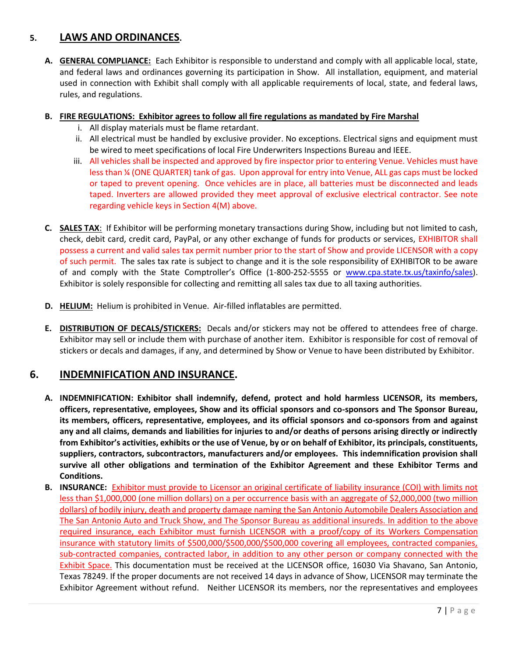# **5. LAWS AND ORDINANCES.**

**A. GENERAL COMPLIANCE:** Each Exhibitor is responsible to understand and comply with all applicable local, state, and federal laws and ordinances governing its participation in Show. All installation, equipment, and material used in connection with Exhibit shall comply with all applicable requirements of local, state, and federal laws, rules, and regulations.

#### **B. FIRE REGULATIONS: Exhibitor agrees to follow all fire regulations as mandated by Fire Marshal**

- i. All display materials must be flame retardant.
- ii. All electrical must be handled by exclusive provider. No exceptions. Electrical signs and equipment must be wired to meet specifications of local Fire Underwriters Inspections Bureau and IEEE.
- iii. All vehicles shall be inspected and approved by fire inspector prior to entering Venue. Vehicles must have less than ¼ (ONE QUARTER) tank of gas. Upon approval for entry into Venue, ALL gas caps must be locked or taped to prevent opening. Once vehicles are in place, all batteries must be disconnected and leads taped. Inverters are allowed provided they meet approval of exclusive electrical contractor. See note regarding vehicle keys in Section 4(M) above.
- **C. SALES TAX**: If Exhibitor will be performing monetary transactions during Show, including but not limited to cash, check, debit card, credit card, PayPal, or any other exchange of funds for products or services, EXHIBITOR shall possess a current and valid sales tax permit number prior to the start of Show and provide LICENSOR with a copy of such permit. The sales tax rate is subject to change and it is the sole responsibility of EXHIBITOR to be aware of and comply with the State Comptroller's Office (1-800-252-5555 or [www.cpa.state.tx.us/taxinfo/sales\)](http://www.cpa.state.tx.us/taxinfo/sales). Exhibitor is solely responsible for collecting and remitting all sales tax due to all taxing authorities.
- **D. HELIUM:** Helium is prohibited in Venue. Air-filled inflatables are permitted.
- **E. DISTRIBUTION OF DECALS/STICKERS:** Decals and/or stickers may not be offered to attendees free of charge. Exhibitor may sell or include them with purchase of another item. Exhibitor is responsible for cost of removal of stickers or decals and damages, if any, and determined by Show or Venue to have been distributed by Exhibitor.

### **6. INDEMNIFICATION AND INSURANCE.**

- **A. INDEMNIFICATION: Exhibitor shall indemnify, defend, protect and hold harmless LICENSOR, its members, officers, representative, employees, Show and its official sponsors and co-sponsors and The Sponsor Bureau, its members, officers, representative, employees, and its official sponsors and co-sponsors from and against any and all claims, demands and liabilities for injuries to and/or deaths of persons arising directly or indirectly from Exhibitor's activities, exhibits or the use of Venue, by or on behalf of Exhibitor, its principals, constituents, suppliers, contractors, subcontractors, manufacturers and/or employees. This indemnification provision shall survive all other obligations and termination of the Exhibitor Agreement and these Exhibitor Terms and Conditions.**
- **B. INSURANCE:** Exhibitor must provide to Licensor an original certificate of liability insurance (COI) with limits not less than \$1,000,000 (one million dollars) on a per occurrence basis with an aggregate of \$2,000,000 (two million dollars) of bodily injury, death and property damage naming the San Antonio Automobile Dealers Association and The San Antonio Auto and Truck Show, and The Sponsor Bureau as additional insureds. In addition to the above required insurance, each Exhibitor must furnish LICENSOR with a proof/copy of its Workers Compensation insurance with statutory limits of \$500,000/\$500,000/\$500,000 covering all employees, contracted companies, sub-contracted companies, contracted labor, in addition to any other person or company connected with the Exhibit Space. This documentation must be received at the LICENSOR office, 16030 Via Shavano, San Antonio, Texas 78249. If the proper documents are not received 14 days in advance of Show, LICENSOR may terminate the Exhibitor Agreement without refund. Neither LICENSOR its members, nor the representatives and employees